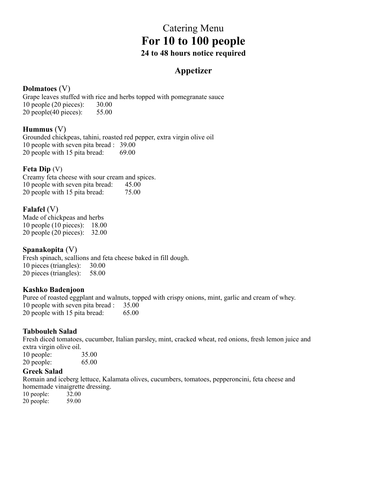# Catering Menu **For 10 to 100 people 24 to 48 hours notice required**

## **Appetizer**

## **Dolmatoes** (V)

Grape leaves stuffed with rice and herbs topped with pomegranate sauce 10 people (20 pieces): 30.00 20 people(40 pieces): 55.00

## **Hummus** (V)

Grounded chickpeas, tahini, roasted red pepper, extra virgin olive oil 10 people with seven pita bread : 39.00 20 people with 15 pita bread: 69.00

## **Feta Dip** (V)

Creamy feta cheese with sour cream and spices. 10 people with seven pita bread: 45.00 20 people with 15 pita bread: 75.00

## **Falafel** (V)

Made of chickpeas and herbs 10 people (10 pieces): 18.00 20 people (20 pieces): 32.00

**Spanakopita** (V)

Fresh spinach, scallions and feta cheese baked in fill dough. 10 pieces (triangles): 30.00 20 pieces (triangles): 58.00

## **Kashko Badenjoon**

Puree of roasted eggplant and walnuts, topped with crispy onions, mint, garlic and cream of whey. 10 people with seven pita bread : 35.00 20 people with 15 pita bread: 65.00

## **Tabbouleh Salad**

Fresh diced tomatoes, cucumber, Italian parsley, mint, cracked wheat, red onions, fresh lemon juice and extra virgin olive oil. 10 people: 35.00

20 people: 65.00

### **Greek Salad**

Romain and iceberg lettuce, Kalamata olives, cucumbers, tomatoes, pepperoncini, feta cheese and homemade vinaigrette dressing.

10 people: 32.00<br>20 people: 59.00 20 people: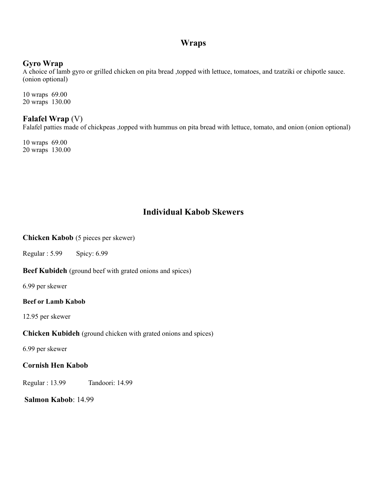## **Wraps**

## **Gyro Wrap**

A choice of lamb gyro or grilled chicken on pita bread ,topped with lettuce, tomatoes, and tzatziki or chipotle sauce. (onion optional)

10 wraps 69.00 20 wraps 130.00

## **Falafel Wrap** (V)

Falafel patties made of chickpeas ,topped with hummus on pita bread with lettuce, tomato, and onion (onion optional)

10 wraps 69.00 20 wraps 130.00

## **Individual Kabob Skewers**

#### **Chicken Kabob** (5 pieces per skewer)

Regular : 5.99 Spicy: 6.99

**Beef Kubideh** (ground beef with grated onions and spices)

6.99 per skewer

#### **Beef or Lamb Kabob**

12.95 per skewer

**Chicken Kubideh** (ground chicken with grated onions and spices)

6.99 per skewer

### **Cornish Hen Kabob**

Regular : 13.99 Tandoori: 14.99

**Salmon Kabob**: 14.99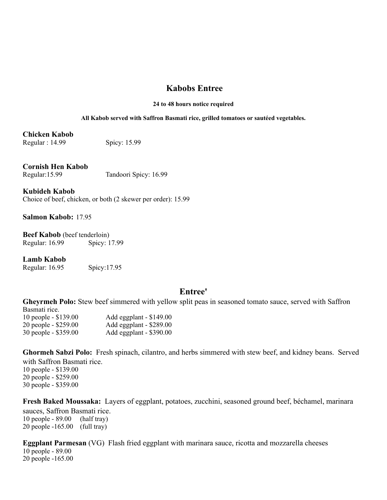## **Kabobs Entree**

#### **24 to 48 hours notice required**

#### **All Kabob served with Saffron Basmati rice, grilled tomatoes or sautéed vegetables.**

## **Chicken Kabob**

Regular : 14.99 Spicy: 15.99

### **Cornish Hen Kabob**

Regular:15.99 Tandoori Spicy: 16.99

**Kubideh Kabob**  Choice of beef, chicken, or both (2 skewer per order): 15.99

**Salmon Kabob:** 17.95

**Beef Kabob** (beef tenderloin) Regular: 16.99 Spicy: 17.99

**Lamb Kabob** 

Regular: 16.95 Spicy:17.95

### **Entree'**

**Gheyrmeh Polo:** Stew beef simmered with yellow split peas in seasoned tomato sauce, served with Saffron Basmati rice. 10 people - \$139.00 Add eggplant - \$149.00 20 people - \$259.00 Add eggplant - \$289.00

30 people - \$359.00 Add eggplant - \$390.00

**Ghormeh Sabzi Polo:** Fresh spinach, cilantro, and herbs simmered with stew beef, and kidney beans. Served with Saffron Basmati rice.

10 people - \$139.00 20 people - \$259.00 30 people - \$359.00

**Fresh Baked Moussaka:** Layers of eggplant, potatoes, zucchini, seasoned ground beef, béchamel, marinara sauces, Saffron Basmati rice.

10 people - 89.00 (half tray) 20 people -165.00 (full tray)

**Eggplant Parmesan** (VG) Flash fried eggplant with marinara sauce, ricotta and mozzarella cheeses 10 people - 89.00 20 people -165.00